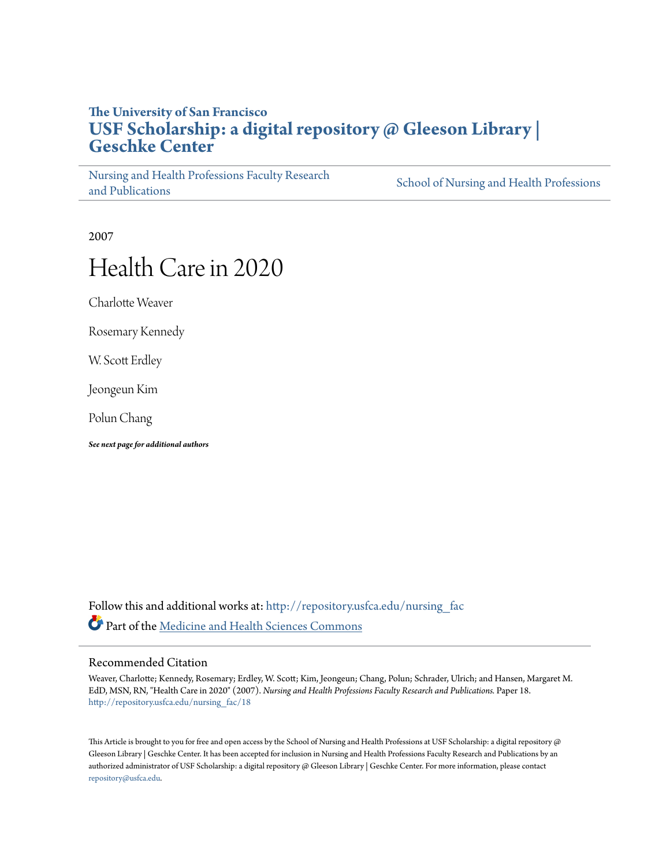### **The University of San Francisco [USF Scholarship: a digital repository @ Gleeson Library |](http://repository.usfca.edu?utm_source=repository.usfca.edu%2Fnursing_fac%2F18&utm_medium=PDF&utm_campaign=PDFCoverPages) [Geschke Center](http://repository.usfca.edu?utm_source=repository.usfca.edu%2Fnursing_fac%2F18&utm_medium=PDF&utm_campaign=PDFCoverPages)**

[Nursing and Health Professions Faculty Research](http://repository.usfca.edu/nursing_fac?utm_source=repository.usfca.edu%2Fnursing_fac%2F18&utm_medium=PDF&utm_campaign=PDFCoverPages) [and Publications](http://repository.usfca.edu/nursing_fac?utm_source=repository.usfca.edu%2Fnursing_fac%2F18&utm_medium=PDF&utm_campaign=PDFCoverPages)

[School of Nursing and Health Professions](http://repository.usfca.edu/nursing?utm_source=repository.usfca.edu%2Fnursing_fac%2F18&utm_medium=PDF&utm_campaign=PDFCoverPages)

2007

# Health Care in 2020

Charlotte Weaver

Rosemary Kennedy

W. Scott Erdley

Jeongeun Kim

Polun Chang

*See next page for additional authors*

Follow this and additional works at: [http://repository.usfca.edu/nursing\\_fac](http://repository.usfca.edu/nursing_fac?utm_source=repository.usfca.edu%2Fnursing_fac%2F18&utm_medium=PDF&utm_campaign=PDFCoverPages) Part of the [Medicine and Health Sciences Commons](http://network.bepress.com/hgg/discipline/648?utm_source=repository.usfca.edu%2Fnursing_fac%2F18&utm_medium=PDF&utm_campaign=PDFCoverPages)

#### Recommended Citation

Weaver, Charlotte; Kennedy, Rosemary; Erdley, W. Scott; Kim, Jeongeun; Chang, Polun; Schrader, Ulrich; and Hansen, Margaret M. EdD, MSN, RN, "Health Care in 2020" (2007). *Nursing and Health Professions Faculty Research and Publications.* Paper 18. [http://repository.usfca.edu/nursing\\_fac/18](http://repository.usfca.edu/nursing_fac/18?utm_source=repository.usfca.edu%2Fnursing_fac%2F18&utm_medium=PDF&utm_campaign=PDFCoverPages)

This Article is brought to you for free and open access by the School of Nursing and Health Professions at USF Scholarship: a digital repository @ Gleeson Library | Geschke Center. It has been accepted for inclusion in Nursing and Health Professions Faculty Research and Publications by an authorized administrator of USF Scholarship: a digital repository @ Gleeson Library | Geschke Center. For more information, please contact [repository@usfca.edu](mailto:repository@usfca.edu).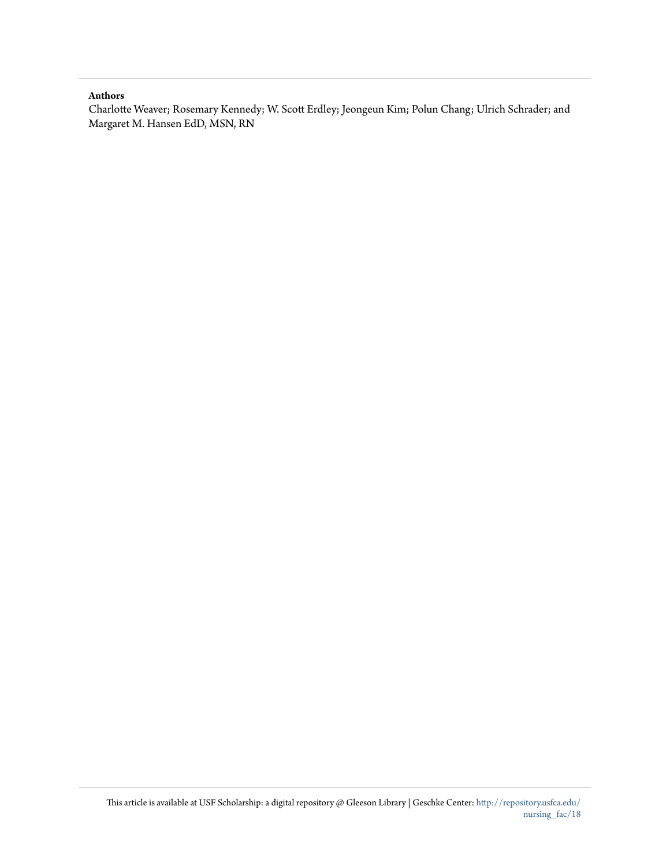#### **Authors**

Charlotte Weaver; Rosemary Kennedy; W. Scott Erdley; Jeongeun Kim; Polun Chang; Ulrich Schrader; and Margaret M. Hansen EdD, MSN, RN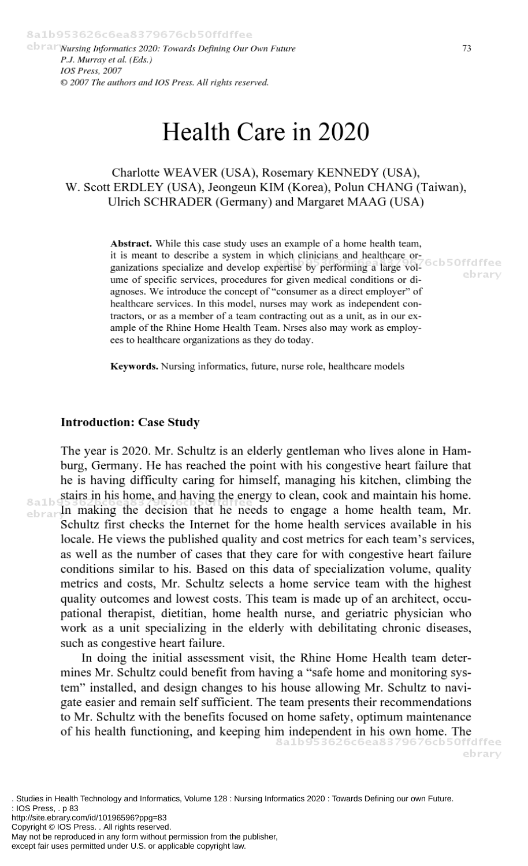ebrar Nursing Informatics 2020: Towards Defining Our Own Future P.J. Murray et al. (Eds.) IOS Press, 2007 © 2007 The authors and IOS Press. All rights reserved.

## Health Care in 2020

Charlotte WEAVER (USA), Rosemary KENNEDY (USA), W. Scott ERDLEY (USA), Jeongeun KIM (Korea), Polun CHANG (Taiwan), Ulrich SCHRADER (Germany) and Margaret MAAG (USA)

> Abstract. While this case study uses an example of a home health team, it is meant to describe a system in which clinicians and healthcare or-<br>ganizations specialize and develop expertise by performing a large vol-6cb50ffdffee ume of specific services, procedures for given medical conditions or diagnoses. We introduce the concept of "consumer as a direct employer" of healthcare services. In this model, nurses may work as independent contractors, or as a member of a team contracting out as a unit, as in our example of the Rhine Home Health Team. Nrses also may work as employees to healthcare organizations as they do today.

Keywords. Nursing informatics, future, nurse role, healthcare models

#### **Introduction: Case Study**

The year is 2020. Mr. Schultz is an elderly gentleman who lives alone in Hamburg, Germany. He has reached the point with his congestive heart failure that he is having difficulty caring for himself, managing his kitchen, climbing the stairs in his home, and having the energy to clean, cook and maintain his home.  $8a1b$ ebrar In making the decision that he needs to engage a home health team, Mr. Schultz first checks the Internet for the home health services available in his locale. He views the published quality and cost metrics for each team's services, as well as the number of cases that they care for with congestive heart failure conditions similar to his. Based on this data of specialization volume, quality metrics and costs, Mr. Schultz selects a home service team with the highest quality outcomes and lowest costs. This team is made up of an architect, occupational therapist, dietitian, home health nurse, and geriatric physician who work as a unit specializing in the elderly with debilitating chronic diseases, such as congestive heart failure.

In doing the initial assessment visit, the Rhine Home Health team determines Mr. Schultz could benefit from having a "safe home and monitoring system" installed, and design changes to his house allowing Mr. Schultz to navigate easier and remain self sufficient. The team presents their recommendations to Mr. Schultz with the benefits focused on home safety, optimum maintenance of his health functioning, and keeping him independent in his own home. The

8a1b953626c6ea8379676cb50ffdffee ebrary

May not be reproduced in any form without permission from the publisher, except fair uses permitted under U.S. or applicable copyright law.

ebrary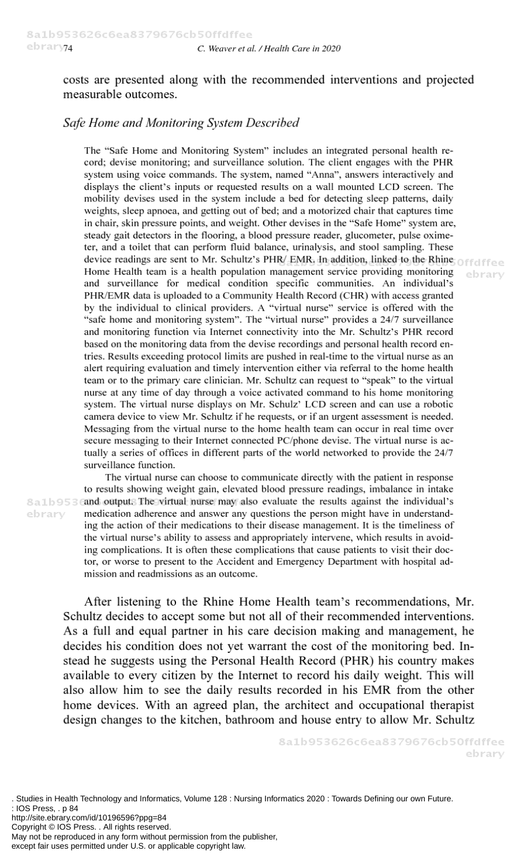costs are presented along with the recommended interventions and projected measurable outcomes.

#### Safe Home and Monitoring System Described

The "Safe Home and Monitoring System" includes an integrated personal health record; devise monitoring; and surveillance solution. The client engages with the PHR system using voice commands. The system, named "Anna", answers interactively and displays the client's inputs or requested results on a wall mounted LCD screen. The mobility devises used in the system include a bed for detecting sleep patterns, daily weights, sleep apnoea, and getting out of bed; and a motorized chair that captures time in chair, skin pressure points, and weight. Other devises in the "Safe Home" system are, steady gait detectors in the flooring, a blood pressure reader, glucometer, pulse oximeter, and a toilet that can perform fluid balance, urinalysis, and stool sampling. These device readings are sent to Mr. Schultz's PHR/EMR, In addition, linked to the Rhine off difee Home Health team is a health population management service providing monitoring and surveillance for medical condition specific communities. An individual's PHR/EMR data is uploaded to a Community Health Record (CHR) with access granted by the individual to clinical providers. A "virtual nurse" service is offered with the "safe home and monitoring system". The "virtual nurse" provides a 24/7 surveillance and monitoring function via Internet connectivity into the Mr. Schultz's PHR record based on the monitoring data from the devise recordings and personal health record entries. Results exceeding protocol limits are pushed in real-time to the virtual nurse as an alert requiring evaluation and timely intervention either via referral to the home health team or to the primary care clinician. Mr. Schultz can request to "speak" to the virtual nurse at any time of day through a voice activated command to his home monitoring system. The virtual nurse displays on Mr. Schulz' LCD screen and can use a robotic camera device to view Mr. Schultz if he requests, or if an urgent assessment is needed. Messaging from the virtual nurse to the home health team can occur in real time over secure messaging to their Internet connected PC/phone devise. The virtual nurse is actually a series of offices in different parts of the world networked to provide the 24/7 surveillance function.

ebrary

The virtual nurse can choose to communicate directly with the patient in response to results showing weight gain, elevated blood pressure readings, imbalance in intake  $8a1b953$  cand outputs The virtual nurse may also evaluate the results against the individual's medication adherence and answer any questions the person might have in understanding the action of their medications to their disease management. It is the timeliness of the virtual nurse's ability to assess and appropriately intervene, which results in avoiding complications. It is often these complications that cause patients to visit their doctor, or worse to present to the Accident and Emergency Department with hospital admission and readmissions as an outcome.

After listening to the Rhine Home Health team's recommendations, Mr. Schultz decides to accept some but not all of their recommended interventions. As a full and equal partner in his care decision making and management, he decides his condition does not yet warrant the cost of the monitoring bed. Instead he suggests using the Personal Health Record (PHR) his country makes available to every citizen by the Internet to record his daily weight. This will also allow him to see the daily results recorded in his EMR from the other home devices. With an agreed plan, the architect and occupational therapist design changes to the kitchen, bathroom and house entry to allow Mr. Schultz

> 8a1b953626c6ea8379676cb50ffdffee ebrary

ebrary

. Studies in Health Technology and Informatics, Volume 128 : Nursing Informatics 2020 : Towards Defining our own Future. : IOS Press, . p 84

http://site.ebrary.com/id/10196596?ppg=84

Copyright © IOS Press. . All rights reserved.

May not be reproduced in any form without permission from the publisher,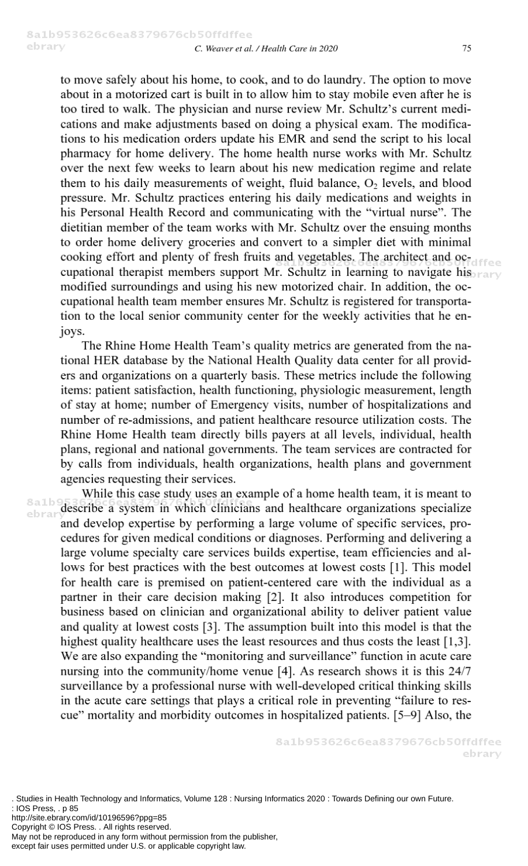to move safely about his home, to cook, and to do laundry. The option to move about in a motorized cart is built in to allow him to stay mobile even after he is too tired to walk. The physician and nurse review Mr. Schultz's current medications and make adjustments based on doing a physical exam. The modifications to his medication orders update his EMR and send the script to his local pharmacy for home delivery. The home health nurse works with Mr. Schultz over the next few weeks to learn about his new medication regime and relate them to his daily measurements of weight, fluid balance,  $O_2$  levels, and blood pressure. Mr. Schultz practices entering his daily medications and weights in his Personal Health Record and communicating with the "virtual nurse". The dietitian member of the team works with Mr. Schultz over the ensuing months to order home delivery groceries and convert to a simpler diet with minimal cooking effort and plenty of fresh fruits and vegetables. The architect and octative cupational therapist members support Mr. Schultz in learning to navigate his $_{\text{Brark}}$ modified surroundings and using his new motorized chair. In addition, the occupational health team member ensures Mr. Schultz is registered for transportation to the local senior community center for the weekly activities that he enjoys.

The Rhine Home Health Team's quality metrics are generated from the national HER database by the National Health Quality data center for all providers and organizations on a quarterly basis. These metrics include the following items: patient satisfaction, health functioning, physiologic measurement, length of stay at home; number of Emergency visits, number of hospitalizations and number of re-admissions, and patient healthcare resource utilization costs. The Rhine Home Health team directly bills payers at all levels, individual, health plans, regional and national governments. The team services are contracted for by calls from individuals, health organizations, health plans and government agencies requesting their services.

While this case study uses an example of a home health team, it is meant to  $8a1b9$ describe a system in which clinicians and healthcare organizations specialize ebrar and develop expertise by performing a large volume of specific services, procedures for given medical conditions or diagnoses. Performing and delivering a large volume specialty care services builds expertise, team efficiencies and allows for best practices with the best outcomes at lowest costs [1]. This model for health care is premised on patient-centered care with the individual as a partner in their care decision making [2]. It also introduces competition for business based on clinician and organizational ability to deliver patient value and quality at lowest costs [3]. The assumption built into this model is that the highest quality healthcare uses the least resources and thus costs the least [1,3]. We are also expanding the "monitoring and surveillance" function in acute care nursing into the community/home venue [4]. As research shows it is this 24/7 surveillance by a professional nurse with well-developed critical thinking skills in the acute care settings that plays a critical role in preventing "failure to rescue" mortality and morbidity outcomes in hospitalized patients. [5–9] Also, the

> 8a1b953626c6ea8379676cb50ffdffee ebrary

. Studies in Health Technology and Informatics, Volume 128 : Nursing Informatics 2020 : Towards Defining our own Future. : IOS Press, . p 85

http://site.ebrary.com/id/10196596?ppg=85

Copyright © IOS Press. . All rights reserved.

May not be reproduced in any form without permission from the publisher,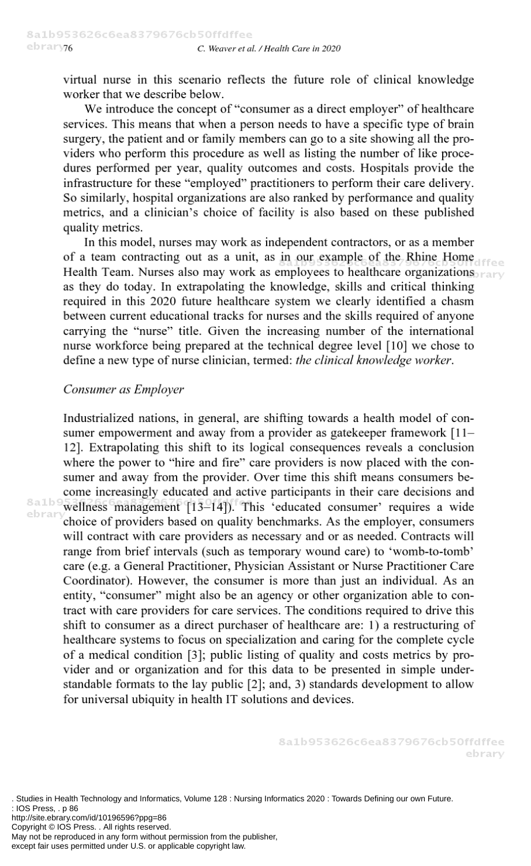virtual nurse in this scenario reflects the future role of clinical knowledge worker that we describe below.

We introduce the concept of "consumer as a direct employer" of healthcare services. This means that when a person needs to have a specific type of brain surgery, the patient and or family members can go to a site showing all the providers who perform this procedure as well as listing the number of like procedures performed per year, quality outcomes and costs. Hospitals provide the infrastructure for these "employed" practitioners to perform their care delivery. So similarly, hospital organizations are also ranked by performance and quality metrics, and a clinician's choice of facility is also based on these published quality metrics.

In this model, nurses may work as independent contractors, or as a member of a team contracting out as a unit, as in our example of the Rhine Home Health Team. Nurses also may work as employees to healthcare organizations as they do today. In extrapolating the knowledge, skills and critical thinking required in this 2020 future healthcare system we clearly identified a chasm between current educational tracks for nurses and the skills required of anyone carrying the "nurse" title. Given the increasing number of the international nurse workforce being prepared at the technical degree level [10] we chose to define a new type of nurse clinician, termed: the clinical knowledge worker.

#### Consumer as Employer

Industrialized nations, in general, are shifting towards a health model of consumer empowerment and away from a provider as gatekeeper framework [11-12]. Extrapolating this shift to its logical consequences reveals a conclusion where the power to "hire and fire" care providers is now placed with the consumer and away from the provider. Over time this shift means consumers become increasingly educated and active participants in their care decisions and salb953ellness management [13-14]). This 'educated consumer' requires a wide ebrar choice of providers based on quality benchmarks. As the employer, consumers will contract with care providers as necessary and or as needed. Contracts will range from brief intervals (such as temporary wound care) to 'womb-to-tomb' care (e.g. a General Practitioner, Physician Assistant or Nurse Practitioner Care Coordinator). However, the consumer is more than just an individual. As an entity, "consumer" might also be an agency or other organization able to contract with care providers for care services. The conditions required to drive this shift to consumer as a direct purchaser of healthcare are: 1) a restructuring of healthcare systems to focus on specialization and caring for the complete cycle of a medical condition [3]; public listing of quality and costs metrics by provider and or organization and for this data to be presented in simple understandable formats to the lay public [2]; and, 3) standards development to allow for universal ubiquity in health IT solutions and devices.

> 8a1b953626c6ea8379676cb50ffdffee ebrary

. Studies in Health Technology and Informatics, Volume 128 : Nursing Informatics 2020 : Towards Defining our own Future. : IOS Press, . p 86

http://site.ebrary.com/id/10196596?ppg=86

Copyright © IOS Press. . All rights reserved.

May not be reproduced in any form without permission from the publisher,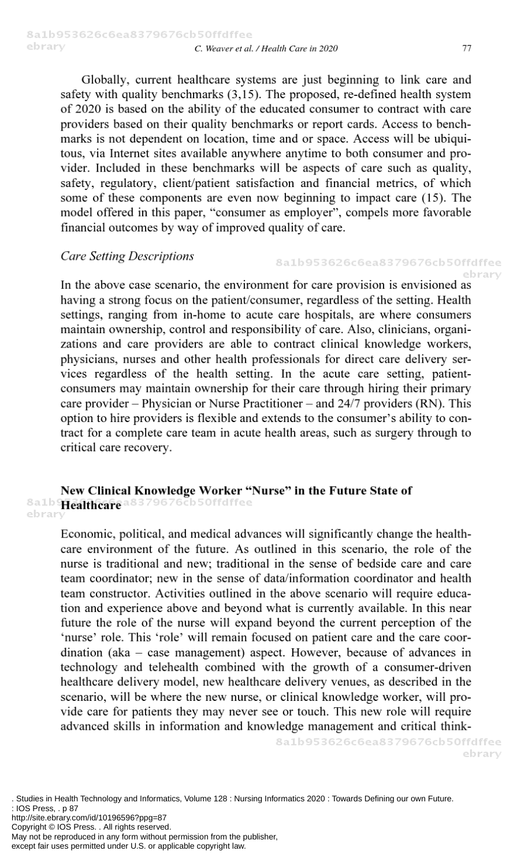Globally, current healthcare systems are just beginning to link care and safety with quality benchmarks  $(3,15)$ . The proposed, re-defined health system of 2020 is based on the ability of the educated consumer to contract with care providers based on their quality benchmarks or report cards. Access to benchmarks is not dependent on location, time and or space. Access will be ubiquitous, via Internet sites available anywhere anytime to both consumer and provider. Included in these benchmarks will be aspects of care such as quality, safety, regulatory, client/patient satisfaction and financial metrics, of which some of these components are even now beginning to impact care (15). The model offered in this paper, "consumer as employer", compels more favorable financial outcomes by way of improved quality of care.

#### **Care Setting Descriptions**

#### 8a1b953626c6ea8379676cb50ffdffee

ebrarv In the above case scenario, the environment for care provision is envisioned as having a strong focus on the patient/consumer, regardless of the setting. Health settings, ranging from in-home to acute care hospitals, are where consumers maintain ownership, control and responsibility of care. Also, clinicians, organizations and care providers are able to contract clinical knowledge workers, physicians, nurses and other health professionals for direct care delivery services regardless of the health setting. In the acute care setting, patientconsumers may maintain ownership for their care through hiring their primary care provider – Physician or Nurse Practitioner – and  $24/7$  providers (RN). This option to hire providers is flexible and extends to the consumer's ability to contract for a complete care team in acute health areas, such as surgery through to critical care recovery.

#### New Clinical Knowledge Worker "Nurse" in the Future State of 8a1b9 Healthcare a8379676cb50ffdffee ebran

Economic, political, and medical advances will significantly change the healthcare environment of the future. As outlined in this scenario, the role of the nurse is traditional and new; traditional in the sense of bedside care and care team coordinator; new in the sense of data/information coordinator and health team constructor. Activities outlined in the above scenario will require education and experience above and beyond what is currently available. In this near future the role of the nurse will expand beyond the current perception of the 'nurse' role. This 'role' will remain focused on patient care and the care coordination (aka  $-$  case management) aspect. However, because of advances in technology and telehealth combined with the growth of a consumer-driven healthcare delivery model, new healthcare delivery venues, as described in the scenario, will be where the new nurse, or clinical knowledge worker, will provide care for patients they may never see or touch. This new role will require advanced skills in information and knowledge management and critical think-

> 8a1b953626c6ea8379676cb50ffdffee ebrary

Copyright © IOS Press. . All rights reserved.

May not be reproduced in any form without permission from the publisher, except fair uses permitted under U.S. or applicable copyright law.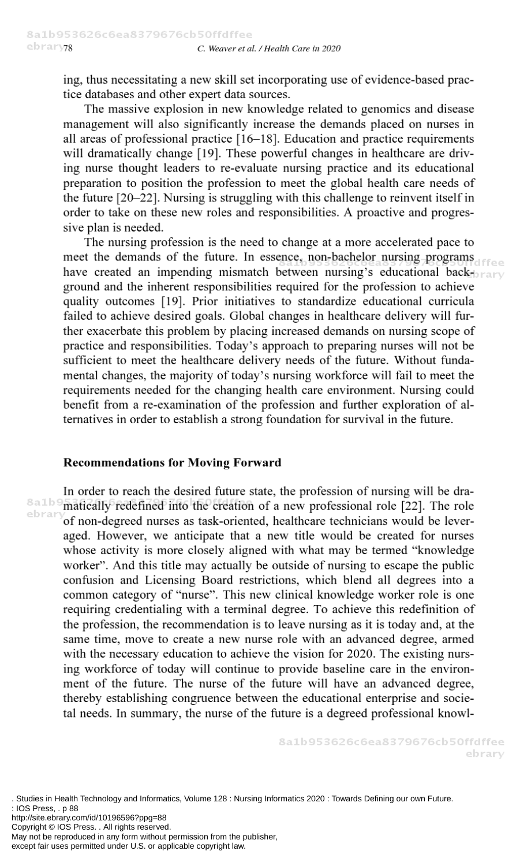ing, thus necessitating a new skill set incorporating use of evidence-based practice databases and other expert data sources.

The massive explosion in new knowledge related to genomics and disease management will also significantly increase the demands placed on nurses in all areas of professional practice [16-18]. Education and practice requirements will dramatically change [19]. These powerful changes in healthcare are driving nurse thought leaders to re-evaluate nursing practice and its educational preparation to position the profession to meet the global health care needs of the future  $[20-22]$ . Nursing is struggling with this challenge to reinvent itself in order to take on these new roles and responsibilities. A proactive and progressive plan is needed.

The nursing profession is the need to change at a more accelerated pace to meet the demands of the future. In essence, non-bachelor nursing programs have created an impending mismatch between nursing's educational background and the inherent responsibilities required for the profession to achieve quality outcomes [19]. Prior initiatives to standardize educational curricula failed to achieve desired goals. Global changes in healthcare delivery will further exacerbate this problem by placing increased demands on nursing scope of practice and responsibilities. Today's approach to preparing nurses will not be sufficient to meet the healthcare delivery needs of the future. Without fundamental changes, the majority of today's nursing workforce will fail to meet the requirements needed for the changing health care environment. Nursing could benefit from a re-examination of the profession and further exploration of alternatives in order to establish a strong foundation for survival in the future.

#### **Recommendations for Moving Forward**

In order to reach the desired future state, the profession of nursing will be dra-8a1b9 matically redefined into the creation of a new professional role [22]. The role ebrar of non-degreed nurses as task-oriented, healthcare technicians would be leveraged. However, we anticipate that a new title would be created for nurses whose activity is more closely aligned with what may be termed "knowledge" worker". And this title may actually be outside of nursing to escape the public confusion and Licensing Board restrictions, which blend all degrees into a common category of "nurse". This new clinical knowledge worker role is one requiring credentialing with a terminal degree. To achieve this redefinition of the profession, the recommendation is to leave nursing as it is today and, at the same time, move to create a new nurse role with an advanced degree, armed with the necessary education to achieve the vision for 2020. The existing nursing workforce of today will continue to provide baseline care in the environment of the future. The nurse of the future will have an advanced degree, thereby establishing congruence between the educational enterprise and societal needs. In summary, the nurse of the future is a degreed professional knowl-

> 8a1b953626c6ea8379676cb50ffdffee ebrary

. Studies in Health Technology and Informatics, Volume 128 : Nursing Informatics 2020 : Towards Defining our own Future. : IOS Press, . p 88

http://site.ebrary.com/id/10196596?ppg=88

Copyright © IOS Press. . All rights reserved.

May not be reproduced in any form without permission from the publisher,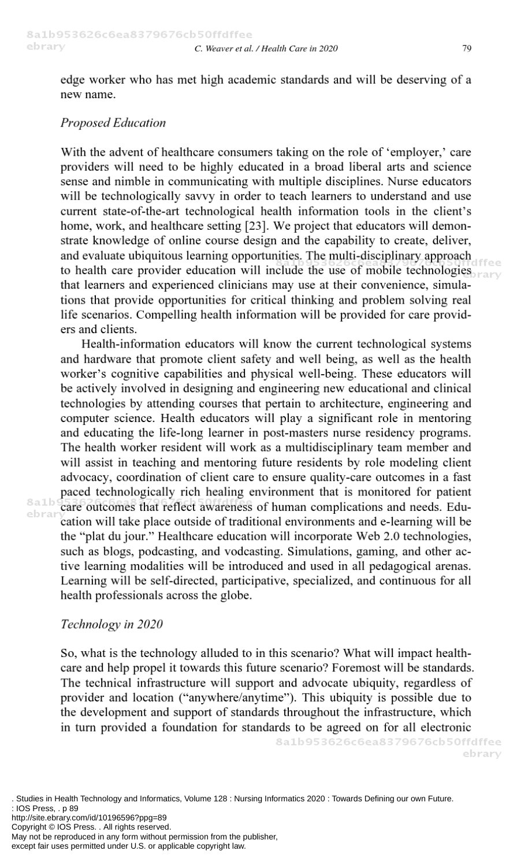edge worker who has met high academic standards and will be deserving of a new name.

#### **Proposed Education**

With the advent of healthcare consumers taking on the role of 'employer,' care providers will need to be highly educated in a broad liberal arts and science sense and nimble in communicating with multiple disciplines. Nurse educators will be technologically savvy in order to teach learners to understand and use current state-of-the-art technological health information tools in the client's home, work, and healthcare setting [23]. We project that educators will demonstrate knowledge of online course design and the capability to create, deliver, and evaluate ubiquitous learning opportunities. The multi-disciplinary approach to health care provider education will include the use of mobile technologies rarv that learners and experienced clinicians may use at their convenience, simulations that provide opportunities for critical thinking and problem solving real life scenarios. Compelling health information will be provided for care providers and clients.

Health-information educators will know the current technological systems and hardware that promote client safety and well being, as well as the health worker's cognitive capabilities and physical well-being. These educators will be actively involved in designing and engineering new educational and clinical technologies by attending courses that pertain to architecture, engineering and computer science. Health educators will play a significant role in mentoring and educating the life-long learner in post-masters nurse residency programs. The health worker resident will work as a multidisciplinary team member and will assist in teaching and mentoring future residents by role modeling client advocacy, coordination of client care to ensure quality-care outcomes in a fast paced technologically rich healing environment that is monitored for patient care outcomes that reflect awareness of human complications and needs. Eduebrar cation will take place outside of traditional environments and e-learning will be the "plat du jour." Healthcare education will incorporate Web 2.0 technologies, such as blogs, podcasting, and vodcasting. Simulations, gaming, and other active learning modalities will be introduced and used in all pedagogical arenas. Learning will be self-directed, participative, specialized, and continuous for all health professionals across the globe.

Technology in 2020

8a1b

So, what is the technology alluded to in this scenario? What will impact healthcare and help propel it towards this future scenario? Foremost will be standards. The technical infrastructure will support and advocate ubiquity, regardless of provider and location ("anywhere/anytime"). This ubiquity is possible due to the development and support of standards throughout the infrastructure, which in turn provided a foundation for standards to be agreed on for all electronic

8a1b953626c6ea8379676cb50ffdffee ebrary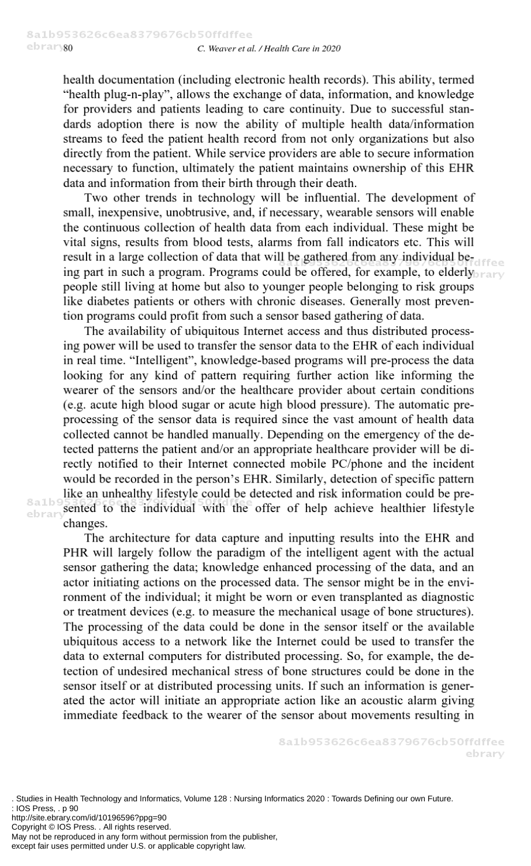health documentation (including electronic health records). This ability, termed "health plug-n-play", allows the exchange of data, information, and knowledge for providers and patients leading to care continuity. Due to successful standards adoption there is now the ability of multiple health data/information streams to feed the patient health record from not only organizations but also directly from the patient. While service providers are able to secure information necessary to function, ultimately the patient maintains ownership of this EHR data and information from their birth through their death.

Two other trends in technology will be influential. The development of small, inexpensive, unobtrusive, and, if necessary, wearable sensors will enable the continuous collection of health data from each individual. These might be vital signs, results from blood tests, alarms from fall indicators etc. This will result in a large collection of data that will be gathered from any individual being part in such a program. Programs could be offered, for example, to elderly people still living at home but also to younger people belonging to risk groups like diabetes patients or others with chronic diseases. Generally most prevention programs could profit from such a sensor based gathering of data.

The availability of ubiquitous Internet access and thus distributed processing power will be used to transfer the sensor data to the EHR of each individual in real time. "Intelligent", knowledge-based programs will pre-process the data looking for any kind of pattern requiring further action like informing the wearer of the sensors and/or the healthcare provider about certain conditions (e.g. acute high blood sugar or acute high blood pressure). The automatic preprocessing of the sensor data is required since the vast amount of health data collected cannot be handled manually. Depending on the emergency of the detected patterns the patient and/or an appropriate healthcare provider will be directly notified to their Internet connected mobile PC/phone and the incident would be recorded in the person's EHR. Similarly, detection of specific pattern like an unhealthy lifestyle could be detected and risk information could be presented to the individual with the offer of help achieve healthier lifestyle changes.

8a1b9 ebrar

> The architecture for data capture and inputting results into the EHR and PHR will largely follow the paradigm of the intelligent agent with the actual sensor gathering the data; knowledge enhanced processing of the data, and an actor initiating actions on the processed data. The sensor might be in the environment of the individual; it might be worn or even transplanted as diagnostic or treatment devices (e.g. to measure the mechanical usage of bone structures). The processing of the data could be done in the sensor itself or the available ubiquitous access to a network like the Internet could be used to transfer the data to external computers for distributed processing. So, for example, the detection of undesired mechanical stress of bone structures could be done in the sensor itself or at distributed processing units. If such an information is generated the actor will initiate an appropriate action like an acoustic alarm giving immediate feedback to the wearer of the sensor about movements resulting in

> > 8a1b953626c6ea8379676cb50ffdffee ebrary

. Studies in Health Technology and Informatics, Volume 128 : Nursing Informatics 2020 : Towards Defining our own Future. : IOS Press, . p 90

http://site.ebrary.com/id/10196596?ppg=90

Copyright © IOS Press. . All rights reserved.

May not be reproduced in any form without permission from the publisher,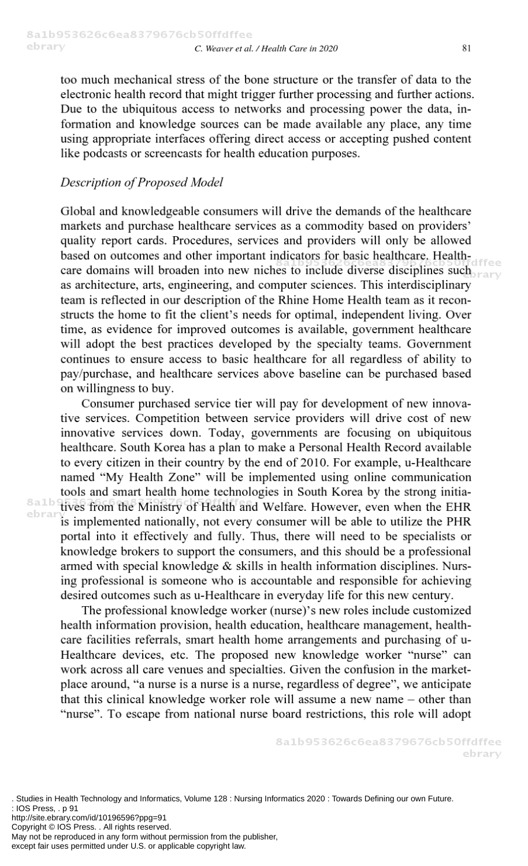too much mechanical stress of the bone structure or the transfer of data to the electronic health record that might trigger further processing and further actions. Due to the ubiquitous access to networks and processing power the data, information and knowledge sources can be made available any place, any time using appropriate interfaces offering direct access or accepting pushed content like podcasts or screencasts for health education purposes.

#### Description of Proposed Model

Global and knowledgeable consumers will drive the demands of the healthcare markets and purchase healthcare services as a commodity based on providers' quality report cards. Procedures, services and providers will only be allowed based on outcomes and other important indicators for basic healthcare. Healthcare domains will broaden into new niches to include diverse disciplines such as architecture, arts, engineering, and computer sciences. This interdisciplinary team is reflected in our description of the Rhine Home Health team as it reconstructs the home to fit the client's needs for optimal, independent living. Over time, as evidence for improved outcomes is available, government healthcare will adopt the best practices developed by the specialty teams. Government continues to ensure access to basic healthcare for all regardless of ability to pay/purchase, and healthcare services above baseline can be purchased based on willingness to buy.

Consumer purchased service tier will pay for development of new innovative services. Competition between service providers will drive cost of new innovative services down. Today, governments are focusing on ubiquitous healthcare. South Korea has a plan to make a Personal Health Record available to every citizen in their country by the end of 2010. For example, u-Healthcare named "My Health Zone" will be implemented using online communication tools and smart health home technologies in South Korea by the strong initia-8a1b tives from the Ministry of Health and Welfare. However, even when the EHR is implemented nationally, not every consumer will be able to utilize the PHR portal into it effectively and fully. Thus, there will need to be specialists or knowledge brokers to support the consumers, and this should be a professional armed with special knowledge  $\&$  skills in health information disciplines. Nursing professional is someone who is accountable and responsible for achieving desired outcomes such as u-Healthcare in everyday life for this new century.

The professional knowledge worker (nurse)'s new roles include customized health information provision, health education, healthcare management, healthcare facilities referrals, smart health home arrangements and purchasing of u-Healthcare devices, etc. The proposed new knowledge worker "nurse" can work across all care venues and specialties. Given the confusion in the marketplace around, "a nurse is a nurse is a nurse, regardless of degree", we anticipate that this clinical knowledge worker role will assume a new name – other than "nurse". To escape from national nurse board restrictions, this role will adopt

> 8a1b953626c6ea8379676cb50ffdffee ebrary

. Studies in Health Technology and Informatics, Volume 128 : Nursing Informatics 2020 : Towards Defining our own Future. : IOS Press, . p 91

http://site.ebrary.com/id/10196596?ppg=91

ebrar

Copyright © IOS Press. . All rights reserved.

May not be reproduced in any form without permission from the publisher,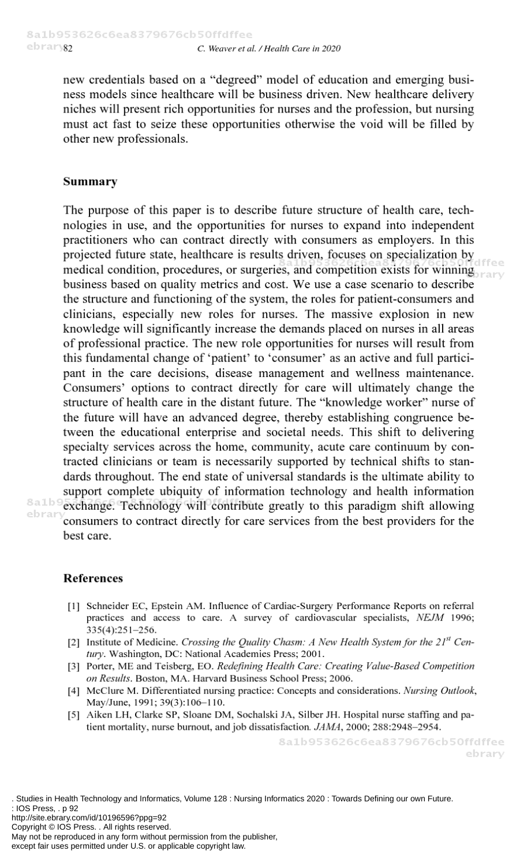new credentials based on a "degreed" model of education and emerging business models since healthcare will be business driven. New healthcare delivery niches will present rich opportunities for nurses and the profession, but nursing must act fast to seize these opportunities otherwise the void will be filled by other new professionals.

#### Summary

The purpose of this paper is to describe future structure of health care, technologies in use, and the opportunities for nurses to expand into independent practitioners who can contract directly with consumers as employers. In this projected future state, healthcare is results driven, focuses on specialization by medical condition, procedures, or surgeries, and competition exists for winning business based on quality metrics and cost. We use a case scenario to describe the structure and functioning of the system, the roles for patient-consumers and clinicians, especially new roles for nurses. The massive explosion in new knowledge will significantly increase the demands placed on nurses in all areas of professional practice. The new role opportunities for nurses will result from this fundamental change of 'patient' to 'consumer' as an active and full participant in the care decisions, disease management and wellness maintenance. Consumers' options to contract directly for care will ultimately change the structure of health care in the distant future. The "knowledge worker" nurse of the future will have an advanced degree, thereby establishing congruence between the educational enterprise and societal needs. This shift to delivering specialty services across the home, community, acute care continuum by contracted clinicians or team is necessarily supported by technical shifts to standards throughout. The end state of universal standards is the ultimate ability to support complete ubiquity of information technology and health information 8a1b9exchange. Technology will contribute greatly to this paradigm shift allowing consumers to contract directly for care services from the best providers for the best care.

**References** 

ebrar

- [1] Schneider EC, Epstein AM. Influence of Cardiac-Surgery Performance Reports on referral practices and access to care. A survey of cardiovascular specialists, NEJM 1996; 335(4):251-256.
- [2] Institute of Medicine. Crossing the Quality Chasm: A New Health System for the  $21<sup>st</sup>$  Century. Washington, DC: National Academies Press; 2001.
- [3] Porter, ME and Teisberg, EO. Redefining Health Care: Creating Value-Based Competition on Results. Boston, MA. Harvard Business School Press; 2006.
- [4] McClure M. Differentiated nursing practice: Concepts and considerations. Nursing Outlook, May/June, 1991; 39(3):106-110.
- [5] Aiken LH, Clarke SP, Sloane DM, Sochalski JA, Silber JH. Hospital nurse staffing and patient mortality, nurse burnout, and job dissatisfaction. *JAMA*, 2000; 288:2948–2954.

8a1b953626c6ea8379676cb50ffdffee ebrary

http://site.ebrary.com/id/10196596?ppg=92

Copyright © IOS Press. . All rights reserved.

May not be reproduced in any form without permission from the publisher,

<sup>.</sup> Studies in Health Technology and Informatics, Volume 128 : Nursing Informatics 2020 : Towards Defining our own Future. : IOS Press, . p 92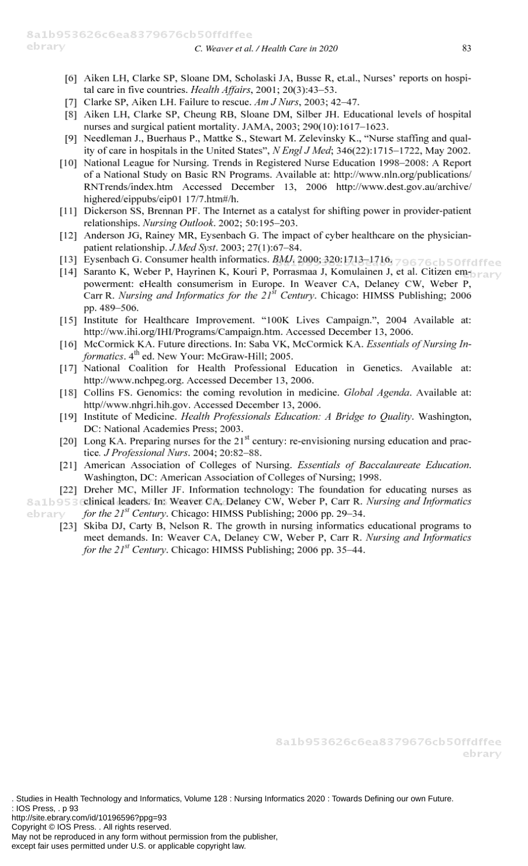- [6] Aiken LH, Clarke SP, Sloane DM, Scholaski JA, Busse R, et.al., Nurses' reports on hospital care in five countries. Health Affairs, 2001; 20(3):43-53.
- [7] Clarke SP, Aiken LH. Failure to rescue. Am J Nurs, 2003; 42-47.
- [8] Aiken LH, Clarke SP, Cheung RB, Sloane DM, Silber JH. Educational levels of hospital nurses and surgical patient mortality. JAMA, 2003; 290(10):1617-1623.
- [9] Needleman J., Buerhaus P., Mattke S., Stewart M. Zelevinsky K., "Nurse staffing and quality of care in hospitals in the United States", N Engl J Med; 346(22):1715-1722, May 2002.
- [10] National League for Nursing. Trends in Registered Nurse Education 1998-2008: A Report of a National Study on Basic RN Programs. Available at: http://www.nln.org/publications/ RNTrends/index.htm Accessed December 13, 2006 http://www.dest.gov.au/archive/ highered/eippubs/eip01 17/7.htm#/h.
- [11] Dickerson SS, Brennan PF. The Internet as a catalyst for shifting power in provider-patient relationships. Nursing Outlook. 2002; 50:195-203.
- [12] Anderson JG, Rainey MR, Eysenbach G. The impact of cyber healthcare on the physicianpatient relationship. J.Med Syst. 2003; 27(1):67-84.
- [13] Eysenbach G. Consumer health informatics. BMJ, 2000; 320:1713-1716. 79676cb50ffdffee
- [14] Saranto K, Weber P, Hayrinen K, Kouri P, Porrasmaa J, Komulainen J, et al. Citizen empowerment: eHealth consumerism in Europe. In Weaver CA, Delaney CW, Weber P, Carr R. Nursing and Informatics for the  $21^{st}$  Century. Chicago: HIMSS Publishing; 2006 pp. 489-506.
- [15] Institute for Healthcare Improvement. "100K Lives Campaign.", 2004 Available at: http://ww.ihi.org/IHI/Programs/Campaign.htm. Accessed December 13, 2006.
- [16] McCormick KA. Future directions. In: Saba VK, McCormick KA. Essentials of Nursing In*formatics*. 4<sup>th</sup> ed. New Your: McGraw-Hill; 2005.
- [17] National Coalition for Health Professional Education in Genetics. Available at: http://www.nchpeg.org. Accessed December 13, 2006.
- [18] Collins FS. Genomics: the coming revolution in medicine. Global Agenda. Available at: http//www.nhgri.hih.gov. Accessed December 13, 2006.
- [19] Institute of Medicine. Health Professionals Education: A Bridge to Quality. Washington, DC: National Academies Press; 2003.
- [20] Long KA. Preparing nurses for the  $21<sup>st</sup>$  century: re-envisioning nursing education and practice. J Professional Nurs. 2004; 20:82-88.
- [21] American Association of Colleges of Nursing. Essentials of Baccalaureate Education. Washington, DC: American Association of Colleges of Nursing; 1998.
- [22] Dreher MC, Miller JF. Information technology: The foundation for educating nurses as

8a1b953 cclinical leaders7 In5 Weaver CA, Delaney CW, Weber P, Carr R. Nursing and Informatics for the  $21^{st}$  Century. Chicago: HIMSS Publishing; 2006 pp. 29–34. ebrary

[23] Skiba DJ, Carty B, Nelson R. The growth in nursing informatics educational programs to meet demands. In: Weaver CA, Delaney CW, Weber P, Carr R. Nursing and Informatics for the 21<sup>st</sup> Century. Chicago: HIMSS Publishing; 2006 pp. 35-44.

Studies in Health Technology and Informatics, Volume 128 : Nursing Informatics 2020 : Towards Defining our own Future. : IOS Press, . p 93

http://site.ebrary.com/id/10196596?ppg=93

Copyright © IOS Press. . All rights reserved.

May not be reproduced in any form without permission from the publisher,